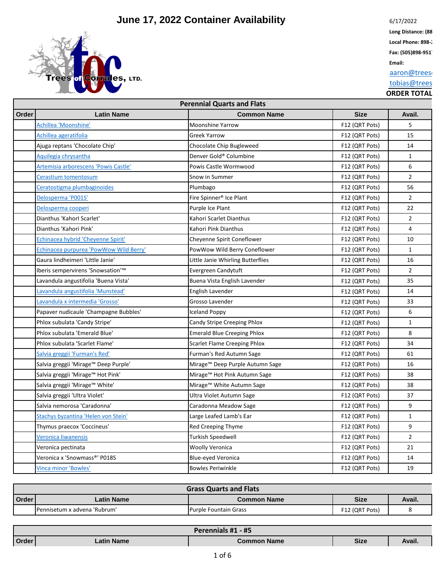

6/17/2022

Long Distance: (88 Local Phone: 898-2

**Fax: (505)898-951** 

**Email:**

aaron@trees

tobias@trees

|       | <b>Perennial Quarts and Flats</b>             |                                     |                |                |  |
|-------|-----------------------------------------------|-------------------------------------|----------------|----------------|--|
| Order | <b>Latin Name</b>                             | <b>Common Name</b>                  | <b>Size</b>    | Avail.         |  |
|       | Achillea 'Moonshine'                          | <b>Moonshine Yarrow</b>             | F12 (QRT Pots) | 5              |  |
|       | Achillea ageratifolia                         | <b>Greek Yarrow</b>                 | F12 (QRT Pots) | 15             |  |
|       | Ajuga reptans 'Chocolate Chip'                | Chocolate Chip Bugleweed            | F12 (QRT Pots) | 14             |  |
|       | Aquilegia chrysantha                          | Denver Gold® Columbine              | F12 (QRT Pots) | $\mathbf{1}$   |  |
|       | Artemisia arborescens 'Powis Castle'          | Powis Castle Wormwood               | F12 (QRT Pots) | 6              |  |
|       | Cerastium tomentosum                          | Snow in Summer                      | F12 (QRT Pots) | $\overline{2}$ |  |
|       | Ceratostigma plumbaginoides                   | Plumbago                            | F12 (QRT Pots) | 56             |  |
|       | Delosperma 'P001S'                            | Fire Spinner <sup>®</sup> Ice Plant | F12 (QRT Pots) | $\overline{2}$ |  |
|       | Delosperma cooperi                            | Purple Ice Plant                    | F12 (QRT Pots) | 22             |  |
|       | Dianthus 'Kahorl Scarlet'                     | Kahori Scarlet Dianthus             | F12 (QRT Pots) | $\overline{2}$ |  |
|       | Dianthus 'Kahori Pink'                        | Kahori Pink Dianthus                | F12 (QRT Pots) | 4              |  |
|       | Echinacea hybrid 'Cheyenne Spirit'            | Cheyenne Spirit Coneflower          | F12 (QRT Pots) | 10             |  |
|       | <b>Echinacea purpurea 'PowWow Wild Berry'</b> | PowWow Wild Berry Coneflower        | F12 (QRT Pots) | $\mathbf{1}$   |  |
|       | Gaura lindheimeri 'Little Janie'              | Little Janie Whirling Butterflies   | F12 (QRT Pots) | 16             |  |
|       | Iberis sempervirens 'Snowsation'™             | Evergreen Candytuft                 | F12 (QRT Pots) | $\overline{2}$ |  |
|       | Lavandula angustifolia 'Buena Vista'          | Buena Vista English Lavender        | F12 (QRT Pots) | 35             |  |
|       | Lavandula angustifolia 'Munstead'             | English Lavender                    | F12 (QRT Pots) | 14             |  |
|       | Lavandula x intermedia 'Grosso'               | Grosso Lavender                     | F12 (QRT Pots) | 33             |  |
|       | Papaver nudicaule 'Champagne Bubbles'         | <b>Iceland Poppy</b>                | F12 (QRT Pots) | 6              |  |
|       | Phlox subulata 'Candy Stripe'                 | Candy Stripe Creeping Phlox         | F12 (QRT Pots) | $\mathbf{1}$   |  |
|       | Phlox subulata 'Emerald Blue'                 | <b>Emerald Blue Creeping Phlox</b>  | F12 (QRT Pots) | 8              |  |
|       | Phlox subulata 'Scarlet Flame'                | Scarlet Flame Creeping Phlox        | F12 (QRT Pots) | 34             |  |
|       | Salvia greggii 'Furman's Red'                 | Furman's Red Autumn Sage            | F12 (QRT Pots) | 61             |  |
|       | Salvia greggii 'Mirage™ Deep Purple'          | Mirage™ Deep Purple Autumn Sage     | F12 (QRT Pots) | 16             |  |
|       | Salvia greggii 'Mirage™ Hot Pink'             | Mirage™ Hot Pink Autumn Sage        | F12 (QRT Pots) | 38             |  |
|       | Salvia greggii 'Mirage™ White'                | Mirage™ White Autumn Sage           | F12 (QRT Pots) | 38             |  |
|       | Salvia greggii 'Ultra Violet'                 | Ultra Violet Autumn Sage            | F12 (QRT Pots) | 37             |  |
|       | Salvia nemorosa 'Caradonna'                   | Caradonna Meadow Sage               | F12 (QRT Pots) | 9              |  |
|       | Stachys byzantina 'Helen von Stein'           | Large Leafed Lamb's Ear             | F12 (QRT Pots) | $\mathbf 1$    |  |
|       | Thymus praecox 'Coccineus'                    | Red Creeping Thyme                  | F12 (QRT Pots) | 9              |  |
|       | Veronica liwanensis                           | <b>Turkish Speedwell</b>            | F12 (QRT Pots) | $\overline{2}$ |  |
|       | Veronica pectinata                            | <b>Woolly Veronica</b>              | F12 (QRT Pots) | 21             |  |
|       | Veronica x 'Snowmass®' P018S                  | <b>Blue-eyed Veronica</b>           | F12 (QRT Pots) | 14             |  |
|       | <b>Vinca minor 'Bowles'</b>                   | <b>Bowles Periwinkle</b>            | F12 (QRT Pots) | 19             |  |

|                                                          | <b>Grass Quarts and Flats</b> |                       |                |  |  |
|----------------------------------------------------------|-------------------------------|-----------------------|----------------|--|--|
| <b>Order</b><br>Size<br>Latin Name<br><b>Common Name</b> |                               |                       |                |  |  |
|                                                          | Pennisetum x advena 'Rubrum'  | Purple Fountain Grass | F12 (QRT Pots) |  |  |

|              | Perennials #1 - #5 |             |      |        |  |
|--------------|--------------------|-------------|------|--------|--|
| <b>Order</b> | Latin Name         | Common Name | Size | Avail. |  |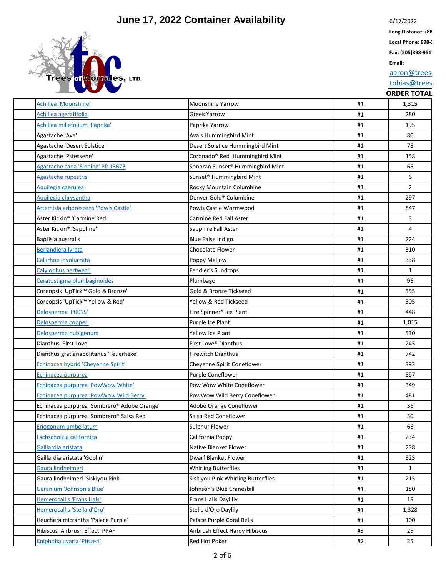

6/17/2022

Long Distance: (88 Local Phone: 898-2

**Fax: (505)898-951** 

**Email:**

aaron@trees

#### tobias@trees

| Achillea 'Moonshine'                        | <b>Moonshine Yarrow</b>                      | #1 | 1,315          |
|---------------------------------------------|----------------------------------------------|----|----------------|
| Achillea ageratifolia                       | <b>Greek Yarrow</b>                          | #1 | 280            |
| Achillea millefolium 'Paprika'              | Paprika Yarrow                               | #1 | 195            |
| Agastache 'Ava'                             | Ava's Hummingbird Mint                       | #1 | 80             |
| Agastache 'Desert Solstice'                 | Desert Solstice Hummingbird Mint             | #1 | 78             |
| Agastache 'Pstessene'                       | Coronado® Red Hummingbird Mint               | #1 | 158            |
| Agastache cana 'Sinning' PP 13673           | Sonoran Sunset <sup>®</sup> Hummingbird Mint | #1 | 65             |
| Agastache rupestris                         | Sunset <sup>®</sup> Hummingbird Mint         | #1 | 6              |
| Aquilegia caerulea                          | Rocky Mountain Columbine                     | #1 | $\overline{2}$ |
| Aquilegia chrysantha                        | Denver Gold® Columbine                       | #1 | 297            |
| Artemisia arborescens 'Powis Castle'        | Powis Castle Wormwood                        | #1 | 847            |
| Aster Kickin® 'Carmine Red'                 | <b>Carmine Red Fall Aster</b>                | #1 | $\mathbf{3}$   |
| Aster Kickin® 'Sapphire'                    | Sapphire Fall Aster                          | #1 | 4              |
| Baptisia australis                          | Blue False Indigo                            | #1 | 224            |
| <b>Berlandiera lyrata</b>                   | <b>Chocolate Flower</b>                      | #1 | 310            |
| Callirhoe involucrata                       | Poppy Mallow                                 | #1 | 338            |
| Calylophus hartwegii                        | Fendler's Sundrops                           | #1 | $\mathbf{1}$   |
| Ceratostigma plumbaginoides                 | Plumbago                                     | #1 | 96             |
| Coreopsis 'UpTick™ Gold & Bronze'           | Gold & Bronze Tickseed                       | #1 | 555            |
| Coreopsis 'UpTick™ Yellow & Red'            | Yellow & Red Tickseed                        | #1 | 505            |
| Delosperma 'P001S'                          | Fire Spinner <sup>®</sup> Ice Plant          | #1 | 448            |
| Delosperma cooperi                          | Purple Ice Plant                             | #1 | 1,015          |
| Delosperma nubigenum                        | Yellow Ice Plant                             | #1 | 530            |
| Dianthus 'First Love'                       | First Love® Dianthus                         | #1 | 245            |
| Dianthus gratianapolitanus 'Feuerhexe'      | <b>Firewitch Dianthus</b>                    | #1 | 742            |
| Echinacea hybrid 'Cheyenne Spirit'          | Cheyenne Spirit Coneflower                   | #1 | 392            |
| Echinacea purpurea                          | Purple Coneflower                            | #1 | 597            |
| Echinacea purpurea 'PowWow White'           | Pow Wow White Coneflower                     | #1 | 349            |
| Echinacea purpurea 'PowWow Wild Berry'      | PowWow Wild Berry Coneflower                 | #1 | 481            |
| Echinacea purpurea 'Sombrero® Adobe Orange' | Adobe Orange Coneflower                      | #1 | 36             |
| Echinacea purpurea 'Sombrero® Salsa Red'    | Salsa Red Coneflower                         | #1 | 50             |
| Eriogonum umbellatum                        | Sulphur Flower                               | #1 | 66             |
| Eschscholzia californica                    | California Poppy                             | #1 | 234            |
| Gaillardia aristata                         | Native Blanket Flower                        | #1 | 238            |
| Gaillardia aristata 'Goblin'                | <b>Dwarf Blanket Flower</b>                  | #1 | 325            |
| Gaura lindheimeri                           | <b>Whirling Butterflies</b>                  | #1 | $\mathbf{1}$   |
| Gaura lindheimeri 'Siskiyou Pink'           | Siskiyou Pink Whirling Butterflies           | #1 | 215            |
| Geranium 'Johnson's Blue'                   | Johnson's Blue Cranesbill                    | #1 | 180            |
| Hemerocallis 'Frans Hals'                   | <b>Frans Halls Daylilly</b>                  | #1 | 18             |
| Hemerocallis 'Stella d'Oro'                 | Stella d'Oro Daylily                         | #1 | 1,328          |
| Heuchera micrantha 'Palace Purple'          | Palace Purple Coral Bells                    | #1 | 100            |
| Hibiscus 'Airbrush Effect' PPAF             | Airbrush Effect Hardy Hibiscus               | #3 | 25             |
| Kniphofia uvaria 'Pfitzeri'                 | Red Hot Poker                                | #2 | 25             |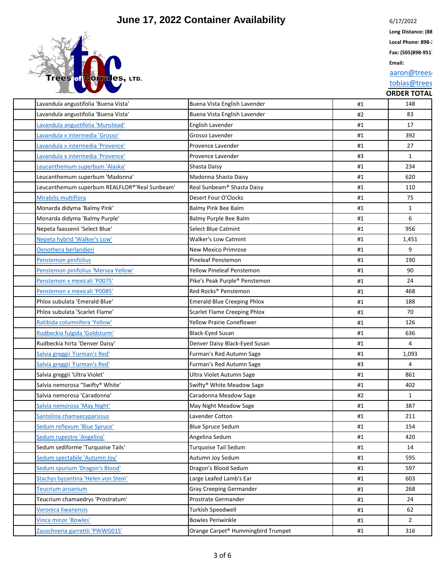

6/17/2022

Long Distance: (88 Local Phone: 898-2

**Fax: (505)898-951** 

**Email:**

aaron@trees

tobias@trees

| ORDER TOTAL |
|-------------|

| Lavandula angustifolia 'Buena Vista'          | Buena Vista English Lavender          | #1 | 148            |
|-----------------------------------------------|---------------------------------------|----|----------------|
| Lavandula angustifolia 'Buena Vista'          | Buena Vista English Lavender          | #2 | 83             |
| Lavandula angustifolia 'Munstead'             | English Lavender                      | #1 | 17             |
| Lavandula x intermedia 'Grosso'               | Grosso Lavender                       | #1 | 392            |
| Lavandula x intermedia 'Provence'             | Provence Lavender                     | #1 | 27             |
| Lavandula x intermedia 'Provence'             | Provence Lavender                     | #3 | $\mathbf{1}$   |
| -eucanthemum superbum 'Alaska'                | Shasta Daisy                          | #1 | 234            |
| Leucanthemum superbum 'Madonna'               | Madonna Shasta Daisy                  | #1 | 620            |
| Leucanthemum superbum REALFLOR®'Real Sunbeam' | Real Sunbeam® Shasta Daisy            | #1 | 110            |
| Mirabilis multiflora                          | Desert Four O'Clocks                  | #1 | 75             |
| Monarda didyma 'Balmy Pink'                   | Balmy Pink Bee Balm                   | #1 | $\mathbf{1}$   |
| Monarda didyma 'Balmy Purple'                 | Balmy Purple Bee Balm                 | #1 | 6              |
| Nepeta faassenii 'Select Blue'                | <b>Select Blue Catmint</b>            | #1 | 956            |
| Nepeta hybrid 'Walker's Low'                  | <b>Walker's Low Catmint</b>           | #1 | 1,451          |
| Oenothera berlandieri                         | <b>New Mexico Primrose</b>            | #1 | 9              |
| Penstemon pinifolius                          | <b>Pineleaf Penstemon</b>             | #1 | 190            |
| Penstemon pinifolius 'Mersea Yellow'          | <b>Yellow Pineleaf Penstemon</b>      | #1 | 90             |
| Penstemon x mexicali 'P007S'                  | Pike's Peak Purple® Penstemon         | #1 | 24             |
| Penstemon x mexicali 'P008S'                  | Red Rocks® Penstemon                  | #1 | 468            |
| Phlox subulata 'Emerald Blue'                 | <b>Emerald Blue Creeping Phlox</b>    | #1 | 188            |
| Phlox subulata 'Scarlet Flame'                | <b>Scarlet Flame Creeping Phlox</b>   | #1 | 70             |
| Ratibida columnifera 'Yellow'                 | <b>Yellow Prairie Coneflower</b>      | #1 | 126            |
| Rudbeckia fulgida 'Goldsturm'                 | <b>Black-Eyed Susan</b>               | #1 | 636            |
| Rudbeckia hirta 'Denver Daisy'                | Denver Daisy Black-Eyed Susan         | #1 | $\overline{4}$ |
| Salvia greggii 'Furman's Red'                 | Furman's Red Autumn Sage              | #1 | 1,093          |
| Salvia greggii 'Furman's Red'                 | Furman's Red Autumn Sage              | #3 | 4              |
| Salvia greggii 'Ultra Violet'                 | Ultra Violet Autumn Sage              | #1 | 861            |
| Salvia nemorosa "Swifty® White'               | Swifty <sup>®</sup> White Meadow Sage | #1 | 402            |
| Salvia nemorosa 'Caradonna'                   | Caradonna Meadow Sage                 | #2 | $\mathbf{1}$   |
| Salvia nemorosa 'May Night'                   | May Night Meadow Sage                 | #1 | 387            |
| Santolina chamaecyparissus                    | <b>Lavender Cotton</b>                | #1 | 211            |
| Sedum reflexum 'Blue Spruce'                  | Blue Spruce Sedum                     | #1 | 154            |
| Sedum rupestre 'Angelina'                     | Angelina Sedum                        | #1 | 420            |
| Sedum sediforme 'Turquoise Tails'             | Turquoise Tail Sedum                  | #1 | 14             |
| Sedum spectabile 'Autumn Joy'                 | Autumn Joy Sedum                      | #1 | 595            |
| Sedum spurium 'Dragon's Blood'                | Dragon's Blood Sedum                  | #1 | 597            |
| Stachys byzantina 'Helen von Stein'           | Large Leafed Lamb's Ear               | #1 | 603            |
| Teucrium aroanium                             | <b>Gray Creeping Germander</b>        | #1 | 268            |
| Teucrium chamaedrys 'Prostratum'              | Prostrate Germander                   | #1 | 24             |
| Veronica liwanensis                           | <b>Turkish Speedwell</b>              | #1 | 62             |
| <b>Vinca minor 'Bowles'</b>                   | <b>Bowles Periwinkle</b>              | #1 | $\overline{2}$ |
| Zauschneria garrettii 'PWWG01S'               | Orange Carpet® Hummingbird Trumpet    | #1 | 316            |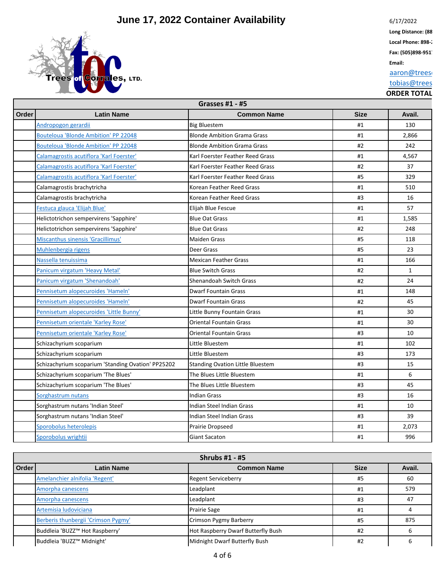

6/17/2022

Long Distance: (88 Local Phone: 898-2

**Fax: (505)898-951** 

**Email:**

aaron@trees

tobias@trees

|       | <b>Grasses #1 - #5</b>                             |                                         |             |              |  |
|-------|----------------------------------------------------|-----------------------------------------|-------------|--------------|--|
| Order | <b>Latin Name</b>                                  | <b>Common Name</b>                      | <b>Size</b> | Avail.       |  |
|       | Andropogon gerardii                                | <b>Big Bluestem</b>                     | #1          | 130          |  |
|       | Bouteloua 'Blonde Ambition' PP 22048               | <b>Blonde Ambition Grama Grass</b>      | #1          | 2,866        |  |
|       | <b>Bouteloua 'Blonde Ambition' PP 22048</b>        | <b>Blonde Ambition Grama Grass</b>      | #2          | 242          |  |
|       | Calamagrostis acutiflora 'Karl Foerster'           | Karl Foerster Feather Reed Grass        | #1          | 4,567        |  |
|       | Calamagrostis acutiflora 'Karl Foerster'           | Karl Foerster Feather Reed Grass        | #2          | 37           |  |
|       | Calamagrostis acutiflora 'Karl Foerster'           | Karl Foerster Feather Reed Grass        | #5          | 329          |  |
|       | Calamagrostis brachytricha                         | Korean Feather Reed Grass               | #1          | 510          |  |
|       | Calamagrostis brachytricha                         | Korean Feather Reed Grass               | #3          | 16           |  |
|       | Festuca glauca 'Elijah Blue'                       | Elijah Blue Fescue                      | #1          | 57           |  |
|       | Helictotrichon sempervirens 'Sapphire'             | <b>Blue Oat Grass</b>                   | #1          | 1,585        |  |
|       | Helictotrichon sempervirens 'Sapphire'             | <b>Blue Oat Grass</b>                   | #2          | 248          |  |
|       | Miscanthus sinensis 'Gracillimus'                  | <b>Maiden Grass</b>                     | #5          | 118          |  |
|       | Muhlenbergia rigens                                | Deer Grass                              | #5          | 23           |  |
|       | Nassella tenuissima                                | <b>Mexican Feather Grass</b>            | #1          | 166          |  |
|       | Panicum virgatum 'Heavy Metal'                     | <b>Blue Switch Grass</b>                | #2          | $\mathbf{1}$ |  |
|       | Panicum virgatum 'Shenandoah'                      | <b>Shenandoah Switch Grass</b>          | #2          | 24           |  |
|       | Pennisetum alopecuroides 'Hameln'                  | <b>Dwarf Fountain Grass</b>             | #1          | 148          |  |
|       | Pennisetum alopecuroides 'Hameln'                  | <b>Dwarf Fountain Grass</b>             | #2          | 45           |  |
|       | Pennisetum alopecuroides 'Little Bunny'            | Little Bunny Fountain Grass             | #1          | 30           |  |
|       | Pennisetum orientale 'Karley Rose'                 | <b>Oriental Fountain Grass</b>          | #1          | 30           |  |
|       | Pennisetum orientale 'Karley Rose'                 | <b>Oriental Fountain Grass</b>          | #3          | 10           |  |
|       | Schizachyrium scoparium                            | Little Bluestem                         | #1          | 102          |  |
|       | Schizachyrium scoparium                            | Little Bluestem                         | #3          | 173          |  |
|       | Schizachyrium scoparium 'Standing Ovation' PP25202 | <b>Standing Ovation Little Bluestem</b> | #3          | 15           |  |
|       | Schizachyrium scoparium 'The Blues'                | The Blues Little Bluestem               | #1          | 6            |  |
|       | Schizachyrium scoparium 'The Blues'                | The Blues Little Bluestem               | #3          | 45           |  |
|       | Sorghastrum nutans                                 | <b>Indian Grass</b>                     | #3          | 16           |  |
|       | Sorghastrum nutans 'Indian Steel'                  | Indian Steel Indian Grass               | #1          | 10           |  |
|       | Sorghastrum nutans 'Indian Steel'                  | Indian Steel Indian Grass               | #3          | 39           |  |
|       | Sporobolus heterolepis                             | <b>Prairie Dropseed</b>                 | #1          | 2,073        |  |
|       | Sporobolus wrightii                                | <b>Giant Sacaton</b>                    | #1          | 996          |  |

| Shrubs #1 - #5 |                                     |                                    |             |        |
|----------------|-------------------------------------|------------------------------------|-------------|--------|
| <b>Order</b>   | <b>Latin Name</b>                   | <b>Common Name</b>                 | <b>Size</b> | Avail. |
|                | Amelanchier alnifolia 'Regent'      | <b>Regent Serviceberry</b>         | #5          | 60     |
|                | Amorpha canescens                   | Leadplant                          | #1          | 579    |
|                | Amorpha canescens                   | Leadplant                          | #3          | 47     |
|                | Artemisia ludoviciana               | <b>Prairie Sage</b>                | #1          |        |
|                | Berberis thunbergii 'Crimson Pygmy' | Crimson Pygmy Barberry             | #5          | 875    |
|                | Buddleia 'BUZZ™ Hot Raspberry'      | Hot Raspberry Dwarf Butterfly Bush | #2          |        |
|                | Buddleia 'BUZZ™ Midnight'           | Midnight Dwarf Butterfly Bush      | #2          |        |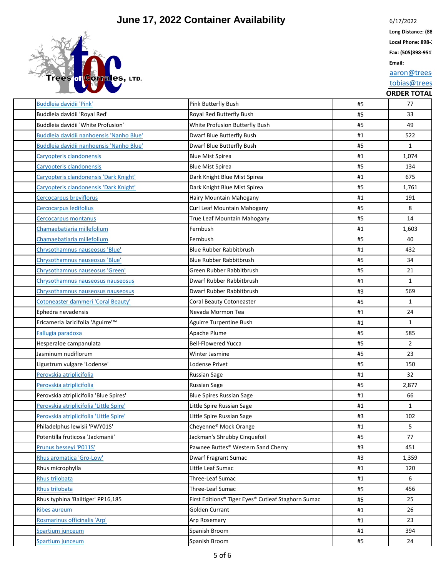

6/17/2022 Long Distance: (88

Local Phone: 898-2

**Fax: (505)898-951** 

**Email:**

aaron@trees

tobias@trees

| Buddleia davidii 'Pink'                  | <b>Pink Butterfly Bush</b>                         | #5 | 77             |
|------------------------------------------|----------------------------------------------------|----|----------------|
| Buddleia davidii 'Royal Red'             | Royal Red Butterfly Bush                           | #5 | 33             |
| Buddleia davidii 'White Profusion'       | White Profusion Butterfly Bush                     | #5 | 49             |
| Buddleia davidii nanhoensis 'Nanho Blue' | Dwarf Blue Butterfly Bush                          | #1 | 522            |
| Buddleia davidii nanhoensis 'Nanho Blue' | Dwarf Blue Butterfly Bush                          | #5 | $\mathbf{1}$   |
| Caryopteris clandonensis                 | <b>Blue Mist Spirea</b>                            | #1 | 1,074          |
| Caryopteris clandonensis                 | <b>Blue Mist Spirea</b>                            | #5 | 134            |
| Caryopteris clandonensis 'Dark Knight'   | Dark Knight Blue Mist Spirea                       | #1 | 675            |
| Caryopteris clandonensis 'Dark Knight'   | Dark Knight Blue Mist Spirea                       | #5 | 1,761          |
| <b>Cercocarpus breviflorus</b>           | Hairy Mountain Mahogany                            | #1 | 191            |
| Cercocarpus ledifolius                   | Curl Leaf Mountain Mahogany                        | #5 | 8              |
| Cercocarpus montanus                     | True Leaf Mountain Mahogany                        | #5 | 14             |
| Chamaebatiaria millefolium               | Fernbush                                           | #1 | 1,603          |
| Chamaebatiaria millefolium               | Fernbush                                           | #5 | 40             |
| Chrysothamnus nauseosus 'Blue'           | <b>Blue Rubber Rabbitbrush</b>                     | #1 | 432            |
| Chrysothamnus nauseosus 'Blue'           | <b>Blue Rubber Rabbitbrush</b>                     | #5 | 34             |
| Chrysothamnus nauseosus 'Green'          | Green Rubber Rabbitbrush                           | #5 | 21             |
| Chrysothamnus nauseosus nauseosus        | Dwarf Rubber Rabbitbrush                           | #1 | $\mathbf{1}$   |
| Chrysothamnus nauseosus nauseosus        | Dwarf Rubber Rabbitbrush                           | #3 | 569            |
| Cotoneaster dammeri 'Coral Beauty'       | Coral Beauty Cotoneaster                           | #5 | $\mathbf{1}$   |
| Ephedra nevadensis                       | Nevada Mormon Tea                                  | #1 | 24             |
| Ericameria laricifolia 'Aguirre'™        | Aguirre Turpentine Bush                            | #1 | $\mathbf{1}$   |
| Fallugia paradoxa                        | Apache Plume                                       | #5 | 585            |
| Hesperaloe campanulata                   | <b>Bell-Flowered Yucca</b>                         | #5 | $\overline{2}$ |
| Jasminum nudiflorum                      | Winter Jasmine                                     | #5 | 23             |
| Ligustrum vulgare 'Lodense'              | Lodense Privet                                     | #5 | 150            |
| Perovskia atriplicifolia                 | <b>Russian Sage</b>                                | #1 | 32             |
| Perovskia atriplicifolia                 | <b>Russian Sage</b>                                | #5 | 2,877          |
| Perovskia atriplicifolia 'Blue Spires'   | <b>Blue Spires Russian Sage</b>                    | #1 | 66             |
| Perovskia atriplicifolia 'Little Spire'  | Little Spire Russian Sage                          | #1 | $\mathbf{1}$   |
| Perovskia atriplicifolia 'Little Spire'  | Little Spire Russian Sage                          | #3 | 102            |
| Philadelphus lewisii 'PWY01S'            | Cheyenne® Mock Orange                              | #1 | 5              |
| Potentilla fruticosa 'Jackmanii'         | Jackman's Shrubby Cinquefoil                       | #5 | 77             |
| Prunus besseyi 'P011S'                   | Pawnee Buttes® Western Sand Cherry                 | #3 | 451            |
| Rhus aromatica 'Gro-Low'                 | <b>Dwarf Fragrant Sumac</b>                        | #3 | 1,359          |
| Rhus microphylla                         | Little Leaf Sumac                                  | #1 | 120            |
| Rhus trilobata                           | Three-Leaf Sumac                                   | #1 | 6              |
| Rhus trilobata                           | Three-Leaf Sumac                                   | #5 | 456            |
| Rhus typhina 'Bailtiger' PP16,185        | First Editions® Tiger Eyes® Cutleaf Staghorn Sumac | #5 | 25             |
| <b>Ribes aureum</b>                      | Golden Currant                                     | #1 | 26             |
| Rosmarinus officinalis 'Arp'             | Arp Rosemary                                       | #1 | 23             |
| Spartium junceum                         | Spanish Broom                                      | #1 | 394            |
| Spartium junceum                         | Spanish Broom                                      | #5 | 24             |